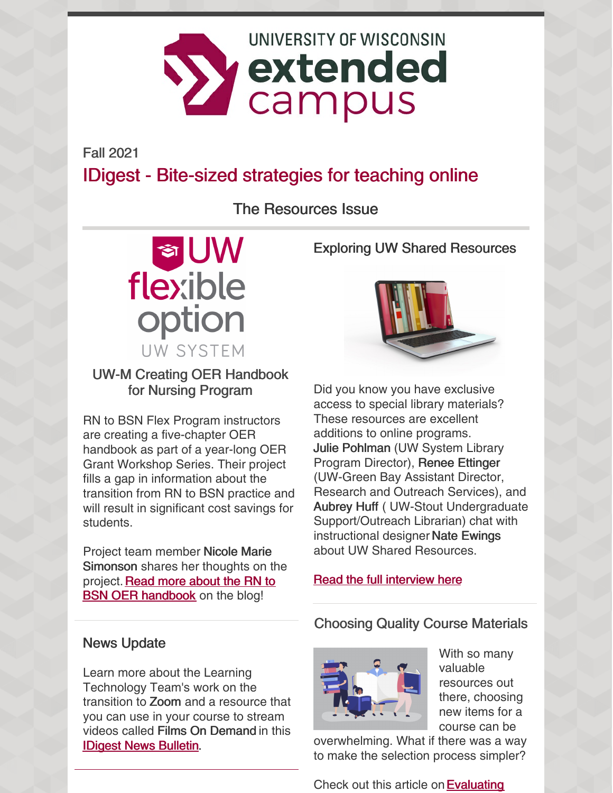

Fall 2021

# IDigest - Bite-sized strategies for teaching online

# The Resources Issue



## UW-M Creating OER Handbook for Nursing Program

RN to BSN Flex Program instructors are creating a five-chapter OER handbook as part of a year-long OER Grant Workshop Series. Their project fills a gap in information about the transition from RN to BSN practice and will result in significant cost savings for students.

Project team member Nicole Marie Simonson shares her thoughts on the project. Read more about the RN to **BSN OER handbook** on the blog!

Exploring UW Shared Resources



Did you know you have exclusive access to special library materials? These resources are excellent additions to online programs. Julie Pohlman (UW System Library Program Director), Renee Ettinger (UW-Green Bay Assistant Director, Research and Outreach Services), and Aubrey Huff ( UW-Stout Undergraduate Support/Outreach Librarian) chat with instructional designer Nate Ewings about UW Shared Resources.

## Read the full [interview](https://ce.uwex.edu/offering-students-free-and-easy-access-to-learning-materials/) here

## News Update

Learn more about the Learning Technology Team's work on the transition to Zoom and a resource that you can use in your course to stream videos called Films On Demand in this IDigest News [Bulletin](https://ce.uwex.edu/idigest-news-bulletin-fall-2021/).

## Choosing Quality Course Materials



With so many valuable resources out there, choosing new items for a course can be

overwhelming. What if there was a way to make the selection process simpler?

Check out this article on **Evaluating**